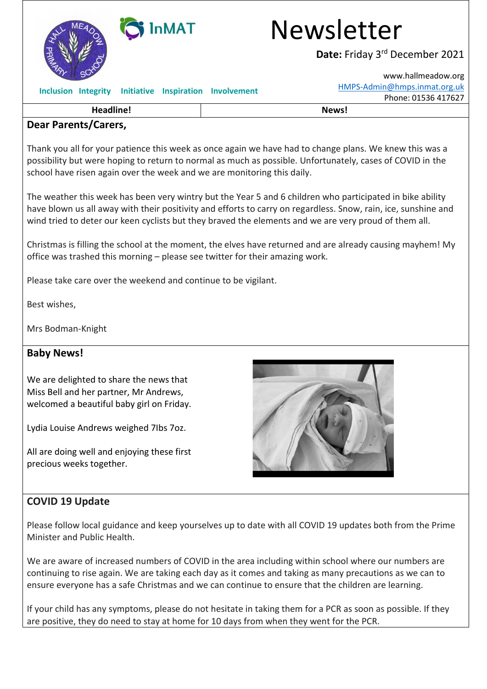

## InMAT Newsletter

**Date:** Friday 3 rd December 2021

[www.hallmeadow.org](http://www.hallmeadow.org/) [HMPS-Admin@hmps.inmat.org.uk](mailto:HMPS-Admin@hmps.inmat.org.uk) Phone: 01536 417627

|  |  |  |  | Inclusion Integrity Initiative Inspiration Involvement |
|--|--|--|--|--------------------------------------------------------|
|--|--|--|--|--------------------------------------------------------|

## **Dear Parents/Carers,**

Thank you all for your patience this week as once again we have had to change plans. We knew this was a possibility but were hoping to return to normal as much as possible. Unfortunately, cases of COVID in the school have risen again over the week and we are monitoring this daily.

**Headline! News!**

The weather this week has been very wintry but the Year 5 and 6 children who participated in bike ability have blown us all away with their positivity and efforts to carry on regardless. Snow, rain, ice, sunshine and wind tried to deter our keen cyclists but they braved the elements and we are very proud of them all.

Christmas is filling the school at the moment, the elves have returned and are already causing mayhem! My office was trashed this morning – please see twitter for their amazing work.

Please take care over the weekend and continue to be vigilant.

Best wishes,

Mrs Bodman-Knight

## **Baby News!**

We are delighted to share the news that Miss Bell and her partner, Mr Andrews, welcomed a beautiful baby girl on Friday.

Lydia Louise Andrews weighed 7Ibs 7oz.

All are doing well and enjoying these first precious weeks together.



## **COVID 19 Update**

Please follow local guidance and keep yourselves up to date with all COVID 19 updates both from the Prime Minister and Public Health.

We are aware of increased numbers of COVID in the area including within school where our numbers are continuing to rise again. We are taking each day as it comes and taking as many precautions as we can to ensure everyone has a safe Christmas and we can continue to ensure that the children are learning.

If your child has any symptoms, please do not hesitate in taking them for a PCR as soon as possible. If they are positive, they do need to stay at home for 10 days from when they went for the PCR.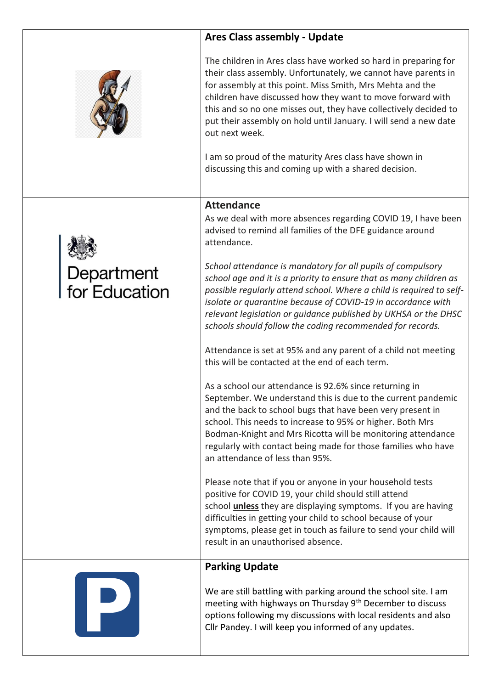|                             | <b>Ares Class assembly - Update</b>                                                                                                                                                                                                                                                                                                                                                                                    |  |
|-----------------------------|------------------------------------------------------------------------------------------------------------------------------------------------------------------------------------------------------------------------------------------------------------------------------------------------------------------------------------------------------------------------------------------------------------------------|--|
|                             | The children in Ares class have worked so hard in preparing for<br>their class assembly. Unfortunately, we cannot have parents in<br>for assembly at this point. Miss Smith, Mrs Mehta and the<br>children have discussed how they want to move forward with<br>this and so no one misses out, they have collectively decided to<br>put their assembly on hold until January. I will send a new date<br>out next week. |  |
|                             | I am so proud of the maturity Ares class have shown in<br>discussing this and coming up with a shared decision.                                                                                                                                                                                                                                                                                                        |  |
|                             | <b>Attendance</b>                                                                                                                                                                                                                                                                                                                                                                                                      |  |
|                             | As we deal with more absences regarding COVID 19, I have been<br>advised to remind all families of the DFE guidance around<br>attendance.                                                                                                                                                                                                                                                                              |  |
| Department<br>for Education | School attendance is mandatory for all pupils of compulsory<br>school age and it is a priority to ensure that as many children as<br>possible regularly attend school. Where a child is required to self-<br>isolate or quarantine because of COVID-19 in accordance with<br>relevant legislation or guidance published by UKHSA or the DHSC<br>schools should follow the coding recommended for records.              |  |
|                             | Attendance is set at 95% and any parent of a child not meeting<br>this will be contacted at the end of each term.                                                                                                                                                                                                                                                                                                      |  |
|                             | As a school our attendance is 92.6% since returning in<br>September. We understand this is due to the current pandemic<br>and the back to school bugs that have been very present in<br>school. This needs to increase to 95% or higher. Both Mrs<br>Bodman-Knight and Mrs Ricotta will be monitoring attendance<br>regularly with contact being made for those families who have<br>an attendance of less than 95%.   |  |
|                             | Please note that if you or anyone in your household tests<br>positive for COVID 19, your child should still attend<br>school <i>unless</i> they are displaying symptoms. If you are having<br>difficulties in getting your child to school because of your<br>symptoms, please get in touch as failure to send your child will<br>result in an unauthorised absence.                                                   |  |
|                             | <b>Parking Update</b>                                                                                                                                                                                                                                                                                                                                                                                                  |  |
|                             | We are still battling with parking around the school site. I am<br>meeting with highways on Thursday 9 <sup>th</sup> December to discuss<br>options following my discussions with local residents and also<br>Cllr Pandey. I will keep you informed of any updates.                                                                                                                                                    |  |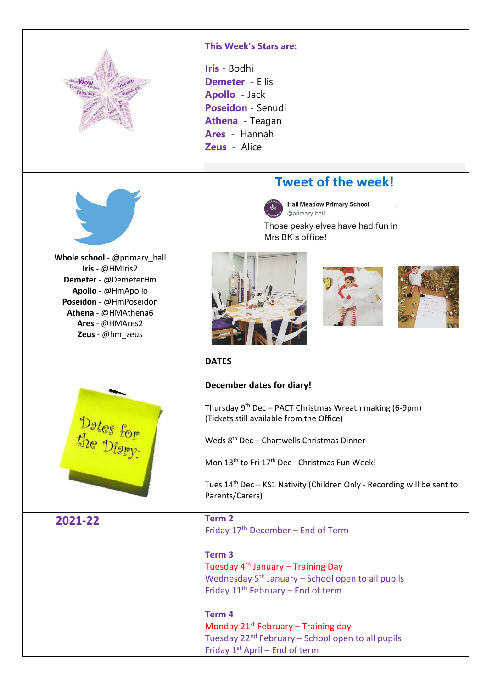